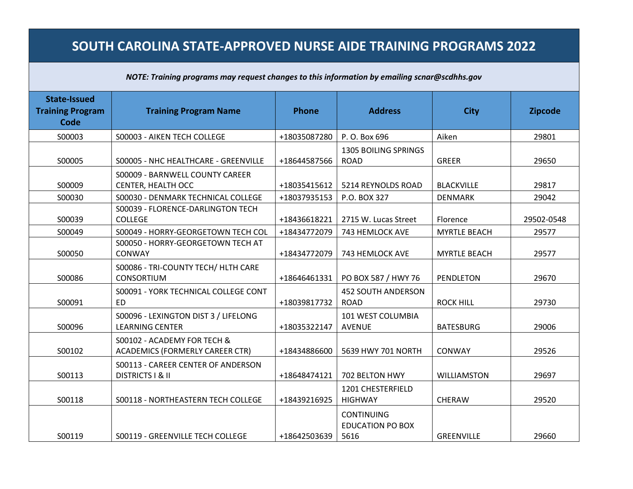## **SOUTH CAROLINA STATE-APPROVED NURSE AIDE TRAINING PROGRAMS 2022**

## *NOTE: Training programs may request changes to this information by emailing scnar@scdhhs.gov*

| State-Issued<br><b>Training Program</b><br><b>Code</b> | <b>Training Program Name</b>                                      | <b>Phone</b> | <b>Address</b>                                       | <b>City</b>         | <b>Zipcode</b> |
|--------------------------------------------------------|-------------------------------------------------------------------|--------------|------------------------------------------------------|---------------------|----------------|
| S00003                                                 | S00003 - AIKEN TECH COLLEGE                                       | +18035087280 | P. O. Box 696                                        | Aiken               | 29801          |
| S00005                                                 | S00005 - NHC HEALTHCARE - GREENVILLE                              | +18644587566 | <b>1305 BOILING SPRINGS</b><br><b>ROAD</b>           | <b>GREER</b>        | 29650          |
| S00009                                                 | S00009 - BARNWELL COUNTY CAREER<br>CENTER, HEALTH OCC             | +18035415612 | 5214 REYNOLDS ROAD                                   | <b>BLACKVILLE</b>   | 29817          |
| S00030                                                 | S00030 - DENMARK TECHNICAL COLLEGE                                | +18037935153 | P.O. BOX 327                                         | <b>DENMARK</b>      | 29042          |
| S00039                                                 | S00039 - FLORENCE-DARLINGTON TECH<br><b>COLLEGE</b>               | +18436618221 | 2715 W. Lucas Street                                 | Florence            | 29502-0548     |
| S00049                                                 | S00049 - HORRY-GEORGETOWN TECH COL                                | +18434772079 | 743 HEMLOCK AVE                                      | <b>MYRTLE BEACH</b> | 29577          |
| S00050                                                 | S00050 - HORRY-GEORGETOWN TECH AT<br>CONWAY                       | +18434772079 | 743 HEMLOCK AVE                                      | <b>MYRTLE BEACH</b> | 29577          |
| S00086                                                 | S00086 - TRI-COUNTY TECH/ HLTH CARE<br>CONSORTIUM                 | +18646461331 | PO BOX 587 / HWY 76                                  | <b>PENDLETON</b>    | 29670          |
| S00091                                                 | S00091 - YORK TECHNICAL COLLEGE CONT<br><b>FD</b>                 | +18039817732 | <b>452 SOUTH ANDERSON</b><br><b>ROAD</b>             | <b>ROCK HILL</b>    | 29730          |
| S00096                                                 | S00096 - LEXINGTON DIST 3 / LIFELONG<br><b>LEARNING CENTER</b>    | +18035322147 | 101 WEST COLUMBIA<br><b>AVENUE</b>                   | <b>BATESBURG</b>    | 29006          |
| S00102                                                 | S00102 - ACADEMY FOR TECH &<br>ACADEMICS (FORMERLY CAREER CTR)    | +18434886600 | 5639 HWY 701 NORTH                                   | CONWAY              | 29526          |
| S00113                                                 | S00113 - CAREER CENTER OF ANDERSON<br><b>DISTRICTS I &amp; II</b> | +18648474121 | 702 BELTON HWY                                       | <b>WILLIAMSTON</b>  | 29697          |
| S00118                                                 | S00118 - NORTHEASTERN TECH COLLEGE                                | +18439216925 | 1201 CHESTERFIELD<br><b>HIGHWAY</b>                  | CHERAW              | 29520          |
| S00119                                                 | S00119 - GREENVILLE TECH COLLEGE                                  | +18642503639 | <b>CONTINUING</b><br><b>EDUCATION PO BOX</b><br>5616 | <b>GREENVILLE</b>   | 29660          |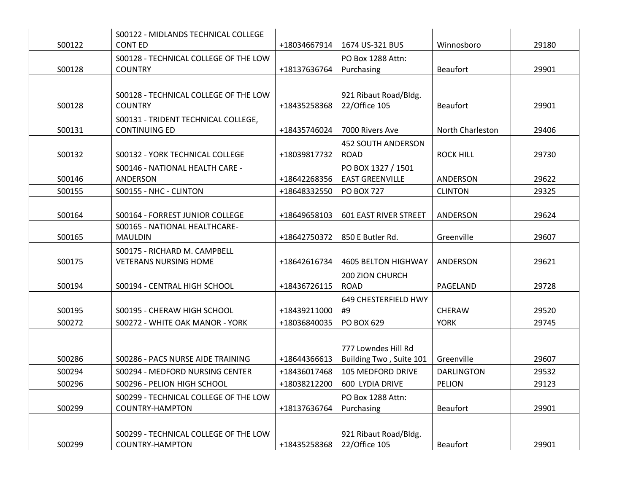|        | S00122 - MIDLANDS TECHNICAL COLLEGE                          |              |                              |                   |       |
|--------|--------------------------------------------------------------|--------------|------------------------------|-------------------|-------|
| S00122 | <b>CONTED</b>                                                | +18034667914 | 1674 US-321 BUS              | Winnosboro        | 29180 |
|        | S00128 - TECHNICAL COLLEGE OF THE LOW                        |              | PO Box 1288 Attn:            |                   |       |
| S00128 | <b>COUNTRY</b>                                               | +18137636764 | Purchasing                   | <b>Beaufort</b>   | 29901 |
|        |                                                              |              |                              |                   |       |
|        | S00128 - TECHNICAL COLLEGE OF THE LOW                        |              | 921 Ribaut Road/Bldg.        |                   |       |
| S00128 | <b>COUNTRY</b>                                               | +18435258368 | 22/Office 105                | <b>Beaufort</b>   | 29901 |
|        | S00131 - TRIDENT TECHNICAL COLLEGE,                          |              |                              |                   |       |
| S00131 | <b>CONTINUING ED</b>                                         | +18435746024 | 7000 Rivers Ave              | North Charleston  | 29406 |
|        |                                                              |              | <b>452 SOUTH ANDERSON</b>    |                   |       |
| S00132 | S00132 - YORK TECHNICAL COLLEGE                              | +18039817732 | <b>ROAD</b>                  | <b>ROCK HILL</b>  | 29730 |
|        | S00146 - NATIONAL HEALTH CARE -                              |              | PO BOX 1327 / 1501           |                   |       |
| S00146 | ANDERSON                                                     | +18642268356 | <b>EAST GREENVILLE</b>       | ANDERSON          | 29622 |
| S00155 | S00155 - NHC - CLINTON                                       | +18648332550 | <b>PO BOX 727</b>            | <b>CLINTON</b>    | 29325 |
|        |                                                              |              |                              |                   |       |
| S00164 | S00164 - FORREST JUNIOR COLLEGE                              | +18649658103 | <b>601 EAST RIVER STREET</b> | ANDERSON          | 29624 |
| S00165 | S00165 - NATIONAL HEALTHCARE-<br><b>MAULDIN</b>              | +18642750372 | 850 E Butler Rd.             | Greenville        | 29607 |
|        |                                                              |              |                              |                   |       |
| S00175 | S00175 - RICHARD M. CAMPBELL<br><b>VETERANS NURSING HOME</b> | +18642616734 | <b>4605 BELTON HIGHWAY</b>   | ANDERSON          | 29621 |
|        |                                                              |              | 200 ZION CHURCH              |                   |       |
| S00194 | S00194 - CENTRAL HIGH SCHOOL                                 | +18436726115 | <b>ROAD</b>                  | PAGELAND          | 29728 |
|        |                                                              |              | 649 CHESTERFIELD HWY         |                   |       |
| S00195 | S00195 - CHERAW HIGH SCHOOL                                  | +18439211000 | #9                           | <b>CHERAW</b>     | 29520 |
| S00272 | S00272 - WHITE OAK MANOR - YORK                              | +18036840035 | PO BOX 629                   | <b>YORK</b>       | 29745 |
|        |                                                              |              |                              |                   |       |
|        |                                                              |              | 777 Lowndes Hill Rd          |                   |       |
| S00286 | S00286 - PACS NURSE AIDE TRAINING                            | +18644366613 | Building Two, Suite 101      | Greenville        | 29607 |
| S00294 | S00294 - MEDFORD NURSING CENTER                              | +18436017468 | <b>105 MEDFORD DRIVE</b>     | <b>DARLINGTON</b> | 29532 |
| S00296 | S00296 - PELION HIGH SCHOOL                                  | +18038212200 | 600 LYDIA DRIVE              | PELION            | 29123 |
|        | S00299 - TECHNICAL COLLEGE OF THE LOW                        |              | PO Box 1288 Attn:            |                   |       |
| S00299 | <b>COUNTRY-HAMPTON</b>                                       | +18137636764 | Purchasing                   | <b>Beaufort</b>   | 29901 |
|        |                                                              |              |                              |                   |       |
|        | S00299 - TECHNICAL COLLEGE OF THE LOW                        |              | 921 Ribaut Road/Bldg.        |                   |       |
| S00299 | <b>COUNTRY-HAMPTON</b>                                       | +18435258368 | 22/Office 105                | <b>Beaufort</b>   | 29901 |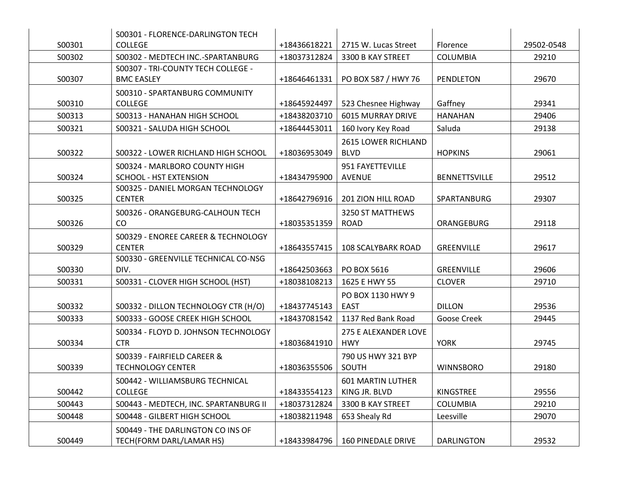|        | S00301 - FLORENCE-DARLINGTON TECH     |              |                            |                      |            |
|--------|---------------------------------------|--------------|----------------------------|----------------------|------------|
| S00301 | <b>COLLEGE</b>                        | +18436618221 | 2715 W. Lucas Street       | Florence             | 29502-0548 |
| S00302 | S00302 - MEDTECH INC.-SPARTANBURG     | +18037312824 | 3300 B KAY STREET          | <b>COLUMBIA</b>      | 29210      |
|        | S00307 - TRI-COUNTY TECH COLLEGE -    |              |                            |                      |            |
| S00307 | <b>BMC EASLEY</b>                     | +18646461331 | PO BOX 587 / HWY 76        | PENDLETON            | 29670      |
|        | S00310 - SPARTANBURG COMMUNITY        |              |                            |                      |            |
| S00310 | <b>COLLEGE</b>                        | +18645924497 | 523 Chesnee Highway        | Gaffney              | 29341      |
| S00313 | S00313 - HANAHAN HIGH SCHOOL          | +18438203710 | <b>6015 MURRAY DRIVE</b>   | <b>HANAHAN</b>       | 29406      |
| S00321 | S00321 - SALUDA HIGH SCHOOL           | +18644453011 | 160 Ivory Key Road         | Saluda               | 29138      |
|        |                                       |              | <b>2615 LOWER RICHLAND</b> |                      |            |
| S00322 | S00322 - LOWER RICHLAND HIGH SCHOOL   | +18036953049 | <b>BLVD</b>                | <b>HOPKINS</b>       | 29061      |
|        | S00324 - MARLBORO COUNTY HIGH         |              | 951 FAYETTEVILLE           |                      |            |
| S00324 | <b>SCHOOL - HST EXTENSION</b>         | +18434795900 | <b>AVENUE</b>              | <b>BENNETTSVILLE</b> | 29512      |
|        | S00325 - DANIEL MORGAN TECHNOLOGY     |              |                            |                      |            |
| S00325 | <b>CENTER</b>                         | +18642796916 | 201 ZION HILL ROAD         | SPARTANBURG          | 29307      |
|        | S00326 - ORANGEBURG-CALHOUN TECH      |              | 3250 ST MATTHEWS           |                      |            |
| S00326 | CO                                    | +18035351359 | <b>ROAD</b>                | ORANGEBURG           | 29118      |
|        | S00329 - ENOREE CAREER & TECHNOLOGY   |              |                            |                      |            |
| S00329 | <b>CENTER</b>                         | +18643557415 | <b>108 SCALYBARK ROAD</b>  | GREENVILLE           | 29617      |
|        | S00330 - GREENVILLE TECHNICAL CO-NSG  |              |                            |                      |            |
| S00330 | DIV.                                  | +18642503663 | PO BOX 5616                | <b>GREENVILLE</b>    | 29606      |
| S00331 | S00331 - CLOVER HIGH SCHOOL (HST)     | +18038108213 | 1625 E HWY 55              | <b>CLOVER</b>        | 29710      |
|        |                                       |              | PO BOX 1130 HWY 9          |                      |            |
| S00332 | S00332 - DILLON TECHNOLOGY CTR (H/O)  | +18437745143 | <b>EAST</b>                | <b>DILLON</b>        | 29536      |
| S00333 | S00333 - GOOSE CREEK HIGH SCHOOL      | +18437081542 | 1137 Red Bank Road         | Goose Creek          | 29445      |
|        | S00334 - FLOYD D. JOHNSON TECHNOLOGY  |              | 275 E ALEXANDER LOVE       |                      |            |
| S00334 | <b>CTR</b>                            | +18036841910 | <b>HWY</b>                 | <b>YORK</b>          | 29745      |
|        | S00339 - FAIRFIELD CAREER &           |              | 790 US HWY 321 BYP         |                      |            |
| S00339 | <b>TECHNOLOGY CENTER</b>              | +18036355506 | SOUTH                      | <b>WINNSBORO</b>     | 29180      |
|        | S00442 - WILLIAMSBURG TECHNICAL       |              | <b>601 MARTIN LUTHER</b>   |                      |            |
| S00442 | <b>COLLEGE</b>                        | +18433554123 | KING JR. BLVD              | KINGSTREE            | 29556      |
| S00443 | S00443 - MEDTECH, INC. SPARTANBURG II | +18037312824 | 3300 B KAY STREET          | <b>COLUMBIA</b>      | 29210      |
| S00448 | S00448 - GILBERT HIGH SCHOOL          | +18038211948 | 653 Shealy Rd              | Leesville            | 29070      |
|        | S00449 - THE DARLINGTON CO INS OF     |              |                            |                      |            |
| S00449 | TECH(FORM DARL/LAMAR HS)              | +18433984796 | <b>160 PINEDALE DRIVE</b>  | <b>DARLINGTON</b>    | 29532      |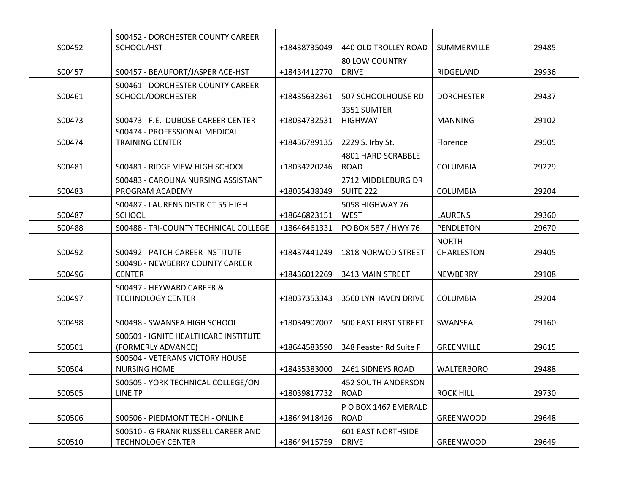|        | S00452 - DORCHESTER COUNTY CAREER     |              |                              |                   |       |
|--------|---------------------------------------|--------------|------------------------------|-------------------|-------|
| S00452 | SCHOOL/HST                            | +18438735049 | 440 OLD TROLLEY ROAD         | SUMMERVILLE       | 29485 |
|        |                                       |              | <b>80 LOW COUNTRY</b>        |                   |       |
| S00457 | S00457 - BEAUFORT/JASPER ACE-HST      | +18434412770 | <b>DRIVE</b>                 | RIDGELAND         | 29936 |
|        | S00461 - DORCHESTER COUNTY CAREER     |              |                              |                   |       |
| S00461 | SCHOOL/DORCHESTER                     | +18435632361 | 507 SCHOOLHOUSE RD           | <b>DORCHESTER</b> | 29437 |
|        |                                       |              | 3351 SUMTER                  |                   |       |
| S00473 | S00473 - F.E. DUBOSE CAREER CENTER    | +18034732531 | <b>HIGHWAY</b>               | MANNING           | 29102 |
|        | S00474 - PROFESSIONAL MEDICAL         |              |                              |                   |       |
| S00474 | <b>TRAINING CENTER</b>                | +18436789135 | 2229 S. Irby St.             | Florence          | 29505 |
|        |                                       |              | 4801 HARD SCRABBLE           |                   |       |
| S00481 | S00481 - RIDGE VIEW HIGH SCHOOL       | +18034220246 | <b>ROAD</b>                  | <b>COLUMBIA</b>   | 29229 |
|        | S00483 - CAROLINA NURSING ASSISTANT   |              | 2712 MIDDLEBURG DR           |                   |       |
| S00483 | PROGRAM ACADEMY                       | +18035438349 | <b>SUITE 222</b>             | COLUMBIA          | 29204 |
|        | S00487 - LAURENS DISTRICT 55 HIGH     |              | 5058 HIGHWAY 76              |                   |       |
| S00487 | <b>SCHOOL</b>                         | +18646823151 | <b>WEST</b>                  | LAURENS           | 29360 |
| S00488 | S00488 - TRI-COUNTY TECHNICAL COLLEGE | +18646461331 | PO BOX 587 / HWY 76          | PENDLETON         | 29670 |
|        |                                       |              |                              | <b>NORTH</b>      |       |
| S00492 | S00492 - PATCH CAREER INSTITUTE       | +18437441249 | 1818 NORWOD STREET           | CHARLESTON        | 29405 |
|        | S00496 - NEWBERRY COUNTY CAREER       |              |                              |                   |       |
| S00496 | <b>CENTER</b>                         | +18436012269 | 3413 MAIN STREET             | NEWBERRY          | 29108 |
|        | S00497 - HEYWARD CAREER &             |              |                              |                   |       |
| S00497 | <b>TECHNOLOGY CENTER</b>              | +18037353343 | 3560 LYNHAVEN DRIVE          | <b>COLUMBIA</b>   | 29204 |
|        |                                       |              |                              |                   |       |
| S00498 | S00498 - SWANSEA HIGH SCHOOL          | +18034907007 | <b>500 EAST FIRST STREET</b> | SWANSEA           | 29160 |
|        | S00501 - IGNITE HEALTHCARE INSTITUTE  |              |                              |                   |       |
| S00501 | (FORMERLY ADVANCE)                    | +18644583590 | 348 Feaster Rd Suite F       | GREENVILLE        | 29615 |
|        | S00504 - VETERANS VICTORY HOUSE       |              |                              |                   |       |
| S00504 | <b>NURSING HOME</b>                   | +18435383000 | 2461 SIDNEYS ROAD            | <b>WALTERBORO</b> | 29488 |
|        | S00505 - YORK TECHNICAL COLLEGE/ON    |              | 452 SOUTH ANDERSON           |                   |       |
| S00505 | LINE TP                               | +18039817732 | <b>ROAD</b>                  | <b>ROCK HILL</b>  | 29730 |
|        |                                       |              | PO BOX 1467 EMERALD          |                   |       |
| S00506 | S00506 - PIEDMONT TECH - ONLINE       | +18649418426 | <b>ROAD</b>                  | GREENWOOD         | 29648 |
|        | S00510 - G FRANK RUSSELL CAREER AND   |              | <b>601 EAST NORTHSIDE</b>    |                   |       |
| S00510 | <b>TECHNOLOGY CENTER</b>              | +18649415759 | <b>DRIVE</b>                 | <b>GREENWOOD</b>  | 29649 |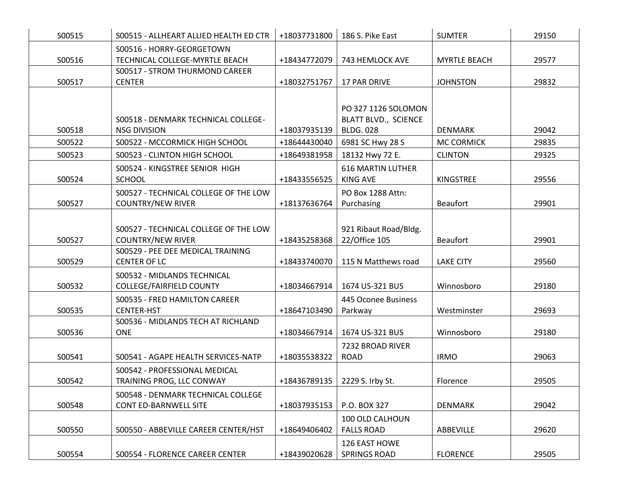| S00515 | S00515 - ALLHEART ALLIED HEALTH ED CTR                             | +18037731800 | 186 S. Pike East                                                | <b>SUMTER</b>       | 29150 |
|--------|--------------------------------------------------------------------|--------------|-----------------------------------------------------------------|---------------------|-------|
| S00516 | S00516 - HORRY-GEORGETOWN<br>TECHNICAL COLLEGE-MYRTLE BEACH        | +18434772079 | 743 HEMLOCK AVE                                                 | <b>MYRTLE BEACH</b> | 29577 |
| S00517 | S00517 - STROM THURMOND CAREER<br><b>CENTER</b>                    | +18032751767 | 17 PAR DRIVE                                                    | <b>JOHNSTON</b>     | 29832 |
| S00518 | S00518 - DENMARK TECHNICAL COLLEGE-<br><b>NSG DIVISION</b>         | +18037935139 | PO 327 1126 SOLOMON<br>BLATT BLVD., SCIENCE<br><b>BLDG. 028</b> | <b>DENMARK</b>      | 29042 |
| S00522 | S00522 - MCCORMICK HIGH SCHOOL                                     | +18644430040 | 6981 SC Hwy 28 S                                                | <b>MC CORMICK</b>   | 29835 |
| S00523 | S00523 - CLINTON HIGH SCHOOL                                       | +18649381958 | 18132 Hwy 72 E.                                                 | <b>CLINTON</b>      | 29325 |
| S00524 | S00524 - KINGSTREE SENIOR HIGH<br><b>SCHOOL</b>                    | +18433556525 | <b>616 MARTIN LUTHER</b><br><b>KING AVE</b>                     | KINGSTREE           | 29556 |
| S00527 | S00527 - TECHNICAL COLLEGE OF THE LOW<br><b>COUNTRY/NEW RIVER</b>  | +18137636764 | PO Box 1288 Attn:<br>Purchasing                                 | <b>Beaufort</b>     | 29901 |
| S00527 | S00527 - TECHNICAL COLLEGE OF THE LOW<br><b>COUNTRY/NEW RIVER</b>  | +18435258368 | 921 Ribaut Road/Bldg.<br>22/Office 105                          | <b>Beaufort</b>     | 29901 |
| S00529 | S00529 - PEE DEE MEDICAL TRAINING<br><b>CENTER OF LC</b>           | +18433740070 | 115 N Matthews road                                             | <b>LAKE CITY</b>    | 29560 |
| S00532 | S00532 - MIDLANDS TECHNICAL<br>COLLEGE/FAIRFIELD COUNTY            | +18034667914 | 1674 US-321 BUS                                                 | Winnosboro          | 29180 |
| S00535 | S00535 - FRED HAMILTON CAREER<br><b>CENTER-HST</b>                 | +18647103490 | 445 Oconee Business<br>Parkway                                  | Westminster         | 29693 |
| S00536 | S00536 - MIDLANDS TECH AT RICHLAND<br><b>ONE</b>                   | +18034667914 | 1674 US-321 BUS                                                 | Winnosboro          | 29180 |
| S00541 | S00541 - AGAPE HEALTH SERVICES-NATP                                | +18035538322 | 7232 BROAD RIVER<br><b>ROAD</b>                                 | <b>IRMO</b>         | 29063 |
| S00542 | S00542 - PROFESSIONAL MEDICAL<br>TRAINING PROG, LLC CONWAY         | +18436789135 | 2229 S. Irby St.                                                | Florence            | 29505 |
| S00548 | S00548 - DENMARK TECHNICAL COLLEGE<br><b>CONT ED-BARNWELL SITE</b> | +18037935153 | P.O. BOX 327                                                    | <b>DENMARK</b>      | 29042 |
| S00550 | S00550 - ABBEVILLE CAREER CENTER/HST                               | +18649406402 | 100 OLD CALHOUN<br><b>FALLS ROAD</b>                            | ABBEVILLE           | 29620 |
| S00554 | S00554 - FLORENCE CAREER CENTER                                    | +18439020628 | 126 EAST HOWE<br><b>SPRINGS ROAD</b>                            | <b>FLORENCE</b>     | 29505 |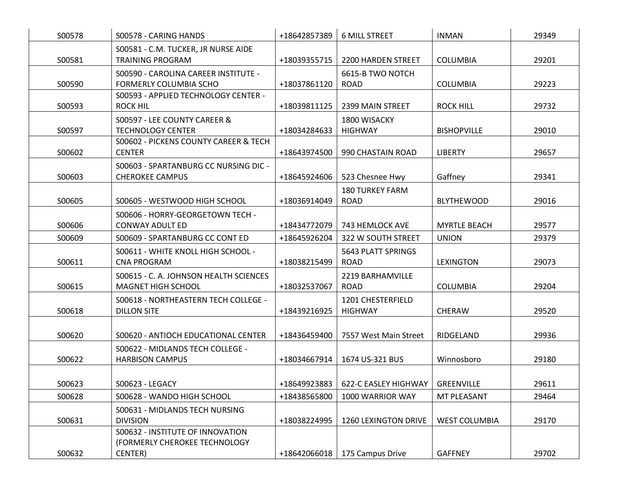| S00578 | S00578 - CARING HANDS                                                        | +18642857389 | <b>6 MILL STREET</b>                             | <b>INMAN</b>         | 29349 |
|--------|------------------------------------------------------------------------------|--------------|--------------------------------------------------|----------------------|-------|
| S00581 | S00581 - C.M. TUCKER, JR NURSE AIDE<br><b>TRAINING PROGRAM</b>               | +18039355715 | 2200 HARDEN STREET                               | <b>COLUMBIA</b>      | 29201 |
| S00590 | S00590 - CAROLINA CAREER INSTITUTE -<br>FORMERLY COLUMBIA SCHO               | +18037861120 | 6615-B TWO NOTCH<br><b>ROAD</b>                  | <b>COLUMBIA</b>      | 29223 |
| S00593 | S00593 - APPLIED TECHNOLOGY CENTER -<br>ROCK HIL                             | +18039811125 | 2399 MAIN STREET                                 | <b>ROCK HILL</b>     | 29732 |
| S00597 | S00597 - LEE COUNTY CAREER &<br><b>TECHNOLOGY CENTER</b>                     | +18034284633 | 1800 WISACKY<br><b>HIGHWAY</b>                   | <b>BISHOPVILLE</b>   | 29010 |
| S00602 | S00602 - PICKENS COUNTY CAREER & TECH<br><b>CENTER</b>                       | +18643974500 | 990 CHASTAIN ROAD                                | <b>LIBERTY</b>       | 29657 |
| S00603 | S00603 - SPARTANBURG CC NURSING DIC -<br><b>CHEROKEE CAMPUS</b>              | +18645924606 | 523 Chesnee Hwy                                  | Gaffney              | 29341 |
| S00605 | S00605 - WESTWOOD HIGH SCHOOL                                                | +18036914049 | <b>180 TURKEY FARM</b><br><b>ROAD</b>            | <b>BLYTHEWOOD</b>    | 29016 |
| S00606 | S00606 - HORRY-GEORGETOWN TECH -<br>CONWAY ADULT ED                          | +18434772079 | 743 HEMLOCK AVE                                  | <b>MYRTLE BEACH</b>  | 29577 |
| S00609 | S00609 - SPARTANBURG CC CONT ED                                              | +18645926204 | 322 W SOUTH STREET                               | <b>UNION</b>         | 29379 |
| S00611 | S00611 - WHITE KNOLL HIGH SCHOOL -<br><b>CNA PROGRAM</b>                     | +18038215499 | 5643 PLATT SPRINGS<br><b>ROAD</b>                | <b>LEXINGTON</b>     | 29073 |
| S00615 | S00615 - C. A. JOHNSON HEALTH SCIENCES<br>MAGNET HIGH SCHOOL                 | +18032537067 | 2219 BARHAMVILLE<br><b>ROAD</b>                  | <b>COLUMBIA</b>      | 29204 |
| S00618 | S00618 - NORTHEASTERN TECH COLLEGE -<br><b>DILLON SITE</b>                   | +18439216925 | 1201 CHESTERFIELD<br><b>HIGHWAY</b>              | <b>CHERAW</b>        | 29520 |
| S00620 | S00620 - ANTIOCH EDUCATIONAL CENTER                                          | +18436459400 | 7557 West Main Street                            | RIDGELAND            | 29936 |
| S00622 | S00622 - MIDLANDS TECH COLLEGE -<br><b>HARBISON CAMPUS</b>                   | +18034667914 | 1674 US-321 BUS                                  | Winnosboro           | 29180 |
| S00623 | S00623 - LEGACY                                                              |              | +18649923883   622-C EASLEY HIGHWAY   GREENVILLE |                      | 29611 |
| S00628 | S00628 - WANDO HIGH SCHOOL                                                   | +18438565800 | 1000 WARRIOR WAY                                 | MT PLEASANT          | 29464 |
| S00631 | S00631 - MIDLANDS TECH NURSING<br><b>DIVISION</b>                            | +18038224995 | 1260 LEXINGTON DRIVE                             | <b>WEST COLUMBIA</b> | 29170 |
| S00632 | S00632 - INSTITUTE OF INNOVATION<br>(FORMERLY CHEROKEE TECHNOLOGY<br>CENTER) | +18642066018 | 175 Campus Drive                                 | <b>GAFFNEY</b>       | 29702 |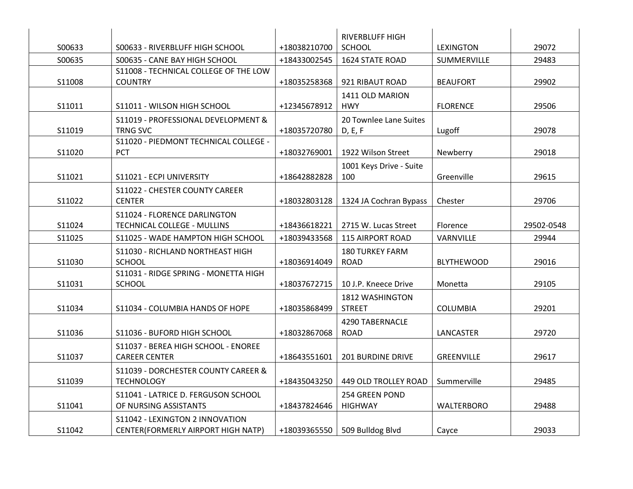|        |                                       |              | <b>RIVERBLUFF HIGH</b>   |                   |            |
|--------|---------------------------------------|--------------|--------------------------|-------------------|------------|
| S00633 | S00633 - RIVERBLUFF HIGH SCHOOL       | +18038210700 | <b>SCHOOL</b>            | LEXINGTON         | 29072      |
| S00635 | S00635 - CANE BAY HIGH SCHOOL         | +18433002545 | <b>1624 STATE ROAD</b>   | SUMMERVILLE       | 29483      |
|        | S11008 - TECHNICAL COLLEGE OF THE LOW |              |                          |                   |            |
| S11008 | <b>COUNTRY</b>                        | +18035258368 | 921 RIBAUT ROAD          | <b>BEAUFORT</b>   | 29902      |
|        |                                       |              | 1411 OLD MARION          |                   |            |
| S11011 | S11011 - WILSON HIGH SCHOOL           | +12345678912 | <b>HWY</b>               | <b>FLORENCE</b>   | 29506      |
|        | S11019 - PROFESSIONAL DEVELOPMENT &   |              | 20 Townlee Lane Suites   |                   |            |
| S11019 | TRNG SVC                              | +18035720780 | D, E, F                  | Lugoff            | 29078      |
|        | S11020 - PIEDMONT TECHNICAL COLLEGE - |              |                          |                   |            |
| S11020 | <b>PCT</b>                            | +18032769001 | 1922 Wilson Street       | Newberry          | 29018      |
|        |                                       |              | 1001 Keys Drive - Suite  |                   |            |
| S11021 | S11021 - ECPI UNIVERSITY              | +18642882828 | 100                      | Greenville        | 29615      |
|        | S11022 - CHESTER COUNTY CAREER        |              |                          |                   |            |
| S11022 | <b>CENTER</b>                         | +18032803128 | 1324 JA Cochran Bypass   | Chester           | 29706      |
|        | S11024 - FLORENCE DARLINGTON          |              |                          |                   |            |
| S11024 | TECHNICAL COLLEGE - MULLINS           | +18436618221 | 2715 W. Lucas Street     | Florence          | 29502-0548 |
| S11025 | S11025 - WADE HAMPTON HIGH SCHOOL     | +18039433568 | <b>115 AIRPORT ROAD</b>  | VARNVILLE         | 29944      |
|        | S11030 - RICHLAND NORTHEAST HIGH      |              | <b>180 TURKEY FARM</b>   |                   |            |
| S11030 | <b>SCHOOL</b>                         | +18036914049 | <b>ROAD</b>              | <b>BLYTHEWOOD</b> | 29016      |
|        | S11031 - RIDGE SPRING - MONETTA HIGH  |              |                          |                   |            |
| S11031 | <b>SCHOOL</b>                         | +18037672715 | 10 J.P. Kneece Drive     | Monetta           | 29105      |
|        |                                       |              | 1812 WASHINGTON          |                   |            |
| S11034 | S11034 - COLUMBIA HANDS OF HOPE       | +18035868499 | <b>STREET</b>            | <b>COLUMBIA</b>   | 29201      |
|        |                                       |              | 4290 TABERNACLE          |                   |            |
| S11036 | S11036 - BUFORD HIGH SCHOOL           | +18032867068 | <b>ROAD</b>              | LANCASTER         | 29720      |
|        | S11037 - BEREA HIGH SCHOOL - ENOREE   |              |                          |                   |            |
| S11037 | <b>CAREER CENTER</b>                  | +18643551601 | <b>201 BURDINE DRIVE</b> | GREENVILLE        | 29617      |
|        | S11039 - DORCHESTER COUNTY CAREER &   |              |                          |                   |            |
| S11039 | <b>TECHNOLOGY</b>                     | +18435043250 | 449 OLD TROLLEY ROAD     | Summerville       | 29485      |
|        | S11041 - LATRICE D. FERGUSON SCHOOL   |              | <b>254 GREEN POND</b>    |                   |            |
| S11041 | OF NURSING ASSISTANTS                 | +18437824646 | <b>HIGHWAY</b>           | <b>WALTERBORO</b> | 29488      |
|        | S11042 - LEXINGTON 2 INNOVATION       |              |                          |                   |            |
| S11042 | CENTER(FORMERLY AIRPORT HIGH NATP)    | +18039365550 | 509 Bulldog Blvd         | Cayce             | 29033      |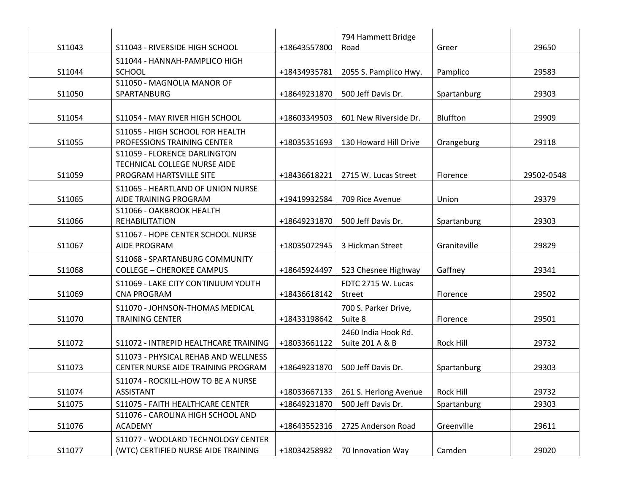|        |                                                                    |              | 794 Hammett Bridge              |                  |            |
|--------|--------------------------------------------------------------------|--------------|---------------------------------|------------------|------------|
| S11043 | S11043 - RIVERSIDE HIGH SCHOOL                                     | +18643557800 | Road                            | Greer            | 29650      |
|        | S11044 - HANNAH-PAMPLICO HIGH                                      |              |                                 |                  |            |
| S11044 | <b>SCHOOL</b>                                                      | +18434935781 | 2055 S. Pamplico Hwy.           | Pamplico         | 29583      |
|        | S11050 - MAGNOLIA MANOR OF                                         |              |                                 |                  |            |
| S11050 | SPARTANBURG                                                        | +18649231870 | 500 Jeff Davis Dr.              | Spartanburg      | 29303      |
|        |                                                                    |              |                                 |                  |            |
| S11054 | S11054 - MAY RIVER HIGH SCHOOL                                     | +18603349503 | 601 New Riverside Dr.           | Bluffton         | 29909      |
|        | S11055 - HIGH SCHOOL FOR HEALTH                                    |              |                                 |                  |            |
| S11055 | PROFESSIONS TRAINING CENTER                                        | +18035351693 | 130 Howard Hill Drive           | Orangeburg       | 29118      |
|        | S11059 - FLORENCE DARLINGTON                                       |              |                                 |                  |            |
|        | TECHNICAL COLLEGE NURSE AIDE                                       |              |                                 |                  |            |
| S11059 | PROGRAM HARTSVILLE SITE                                            | +18436618221 | 2715 W. Lucas Street            | Florence         | 29502-0548 |
|        | S11065 - HEARTLAND OF UNION NURSE                                  |              |                                 |                  |            |
| S11065 | AIDE TRAINING PROGRAM                                              | +19419932584 | 709 Rice Avenue                 | Union            | 29379      |
| S11066 | S11066 - OAKBROOK HEALTH<br><b>REHABILITATION</b>                  | +18649231870 | 500 Jeff Davis Dr.              | Spartanburg      | 29303      |
|        |                                                                    |              |                                 |                  |            |
| S11067 | S11067 - HOPE CENTER SCHOOL NURSE<br><b>AIDE PROGRAM</b>           | +18035072945 | 3 Hickman Street                | Graniteville     | 29829      |
|        |                                                                    |              |                                 |                  |            |
| S11068 | S11068 - SPARTANBURG COMMUNITY<br><b>COLLEGE - CHEROKEE CAMPUS</b> | +18645924497 | 523 Chesnee Highway             | Gaffney          | 29341      |
|        |                                                                    |              |                                 |                  |            |
| S11069 | S11069 - LAKE CITY CONTINUUM YOUTH<br><b>CNA PROGRAM</b>           | +18436618142 | FDTC 2715 W. Lucas<br>Street    | Florence         | 29502      |
|        |                                                                    |              |                                 |                  |            |
| S11070 | S11070 - JOHNSON-THOMAS MEDICAL<br><b>TRAINING CENTER</b>          | +18433198642 | 700 S. Parker Drive,<br>Suite 8 | Florence         | 29501      |
|        |                                                                    |              |                                 |                  |            |
|        |                                                                    |              | 2460 India Hook Rd.             |                  |            |
| S11072 | S11072 - INTREPID HEALTHCARE TRAINING                              | +18033661122 | Suite 201 A & B                 | <b>Rock Hill</b> | 29732      |
|        | S11073 - PHYSICAL REHAB AND WELLNESS                               |              |                                 |                  |            |
| S11073 | CENTER NURSE AIDE TRAINING PROGRAM                                 | +18649231870 | 500 Jeff Davis Dr.              | Spartanburg      | 29303      |
|        | S11074 - ROCKILL-HOW TO BE A NURSE                                 |              |                                 |                  |            |
| S11074 | <b>ASSISTANT</b>                                                   | +18033667133 | 261 S. Herlong Avenue           | Rock Hill        | 29732      |
| S11075 | S11075 - FAITH HEALTHCARE CENTER                                   | +18649231870 | 500 Jeff Davis Dr.              | Spartanburg      | 29303      |
| S11076 | S11076 - CAROLINA HIGH SCHOOL AND<br><b>ACADEMY</b>                | +18643552316 | 2725 Anderson Road              | Greenville       | 29611      |
|        |                                                                    |              |                                 |                  |            |
|        | S11077 - WOOLARD TECHNOLOGY CENTER                                 |              |                                 |                  |            |
| S11077 | (WTC) CERTIFIED NURSE AIDE TRAINING                                | +18034258982 | 70 Innovation Way               | Camden           | 29020      |